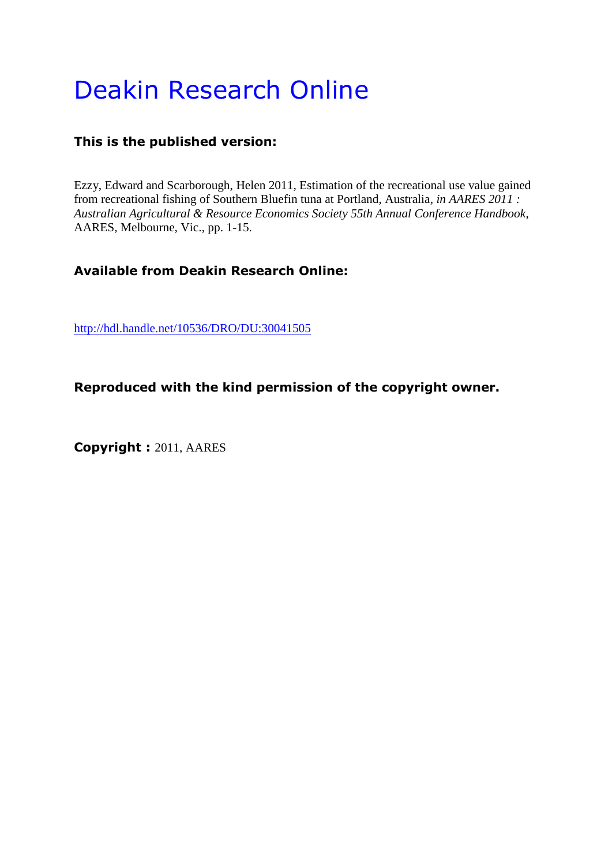# Deakin Research Online

## **This is the published version:**

Ezzy, Edward and Scarborough, Helen 2011, Estimation of the recreational use value gained from recreational fishing of Southern Bluefin tuna at Portland, Australia*, in AARES 2011 : Australian Agricultural & Resource Economics Society 55th Annual Conference Handbook*, AARES, Melbourne, Vic., pp. 1-15.

## **Available from Deakin Research Online:**

<http://hdl.handle.net/10536/DRO/DU:30041505>

### **Reproduced with the kind permission of the copyright owner.**

**Copyright :** 2011, AARES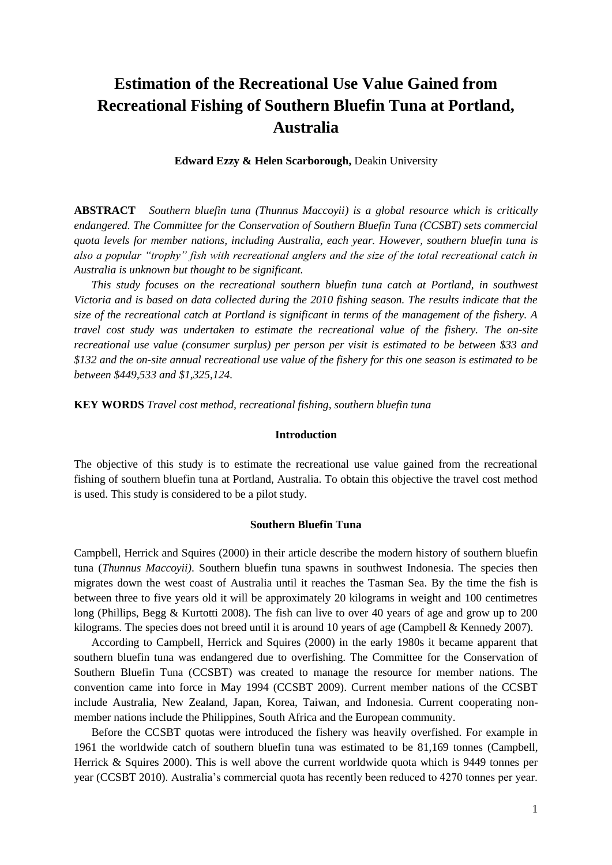## **Estimation of the Recreational Use Value Gained from Recreational Fishing of Southern Bluefin Tuna at Portland, Australia**

**Edward Ezzy & Helen Scarborough,** Deakin University

**ABSTRACT** *Southern bluefin tuna (Thunnus Maccoyii) is a global resource which is critically endangered. The Committee for the Conservation of Southern Bluefin Tuna (CCSBT) sets commercial quota levels for member nations, including Australia, each year. However, southern bluefin tuna is also a popular "trophy" fish with recreational anglers and the size of the total recreational catch in Australia is unknown but thought to be significant.*

*This study focuses on the recreational southern bluefin tuna catch at Portland, in southwest Victoria and is based on data collected during the 2010 fishing season. The results indicate that the size of the recreational catch at Portland is significant in terms of the management of the fishery. A travel cost study was undertaken to estimate the recreational value of the fishery. The on-site recreational use value (consumer surplus) per person per visit is estimated to be between \$33 and \$132 and the on-site annual recreational use value of the fishery for this one season is estimated to be between \$449,533 and \$1,325,124.*

**KEY WORDS** *Travel cost method, recreational fishing, southern bluefin tuna*

#### **Introduction**

The objective of this study is to estimate the recreational use value gained from the recreational fishing of southern bluefin tuna at Portland, Australia. To obtain this objective the travel cost method is used. This study is considered to be a pilot study.

#### **Southern Bluefin Tuna**

Campbell, Herrick and Squires (2000) in their article describe the modern history of southern bluefin tuna (*Thunnus Maccoyii)*. Southern bluefin tuna spawns in southwest Indonesia. The species then migrates down the west coast of Australia until it reaches the Tasman Sea. By the time the fish is between three to five years old it will be approximately 20 kilograms in weight and 100 centimetres long (Phillips, Begg & Kurtotti 2008). The fish can live to over 40 years of age and grow up to 200 kilograms. The species does not breed until it is around 10 years of age (Campbell & Kennedy 2007).

According to Campbell, Herrick and Squires (2000) in the early 1980s it became apparent that southern bluefin tuna was endangered due to overfishing. The Committee for the Conservation of Southern Bluefin Tuna (CCSBT) was created to manage the resource for member nations. The convention came into force in May 1994 (CCSBT 2009). Current member nations of the CCSBT include Australia, New Zealand, Japan, Korea, Taiwan, and Indonesia. Current cooperating nonmember nations include the Philippines, South Africa and the European community.

Before the CCSBT quotas were introduced the fishery was heavily overfished. For example in 1961 the worldwide catch of southern bluefin tuna was estimated to be 81,169 tonnes (Campbell, Herrick & Squires 2000). This is well above the current worldwide quota which is 9449 tonnes per year (CCSBT 2010). Australia"s commercial quota has recently been reduced to 4270 tonnes per year.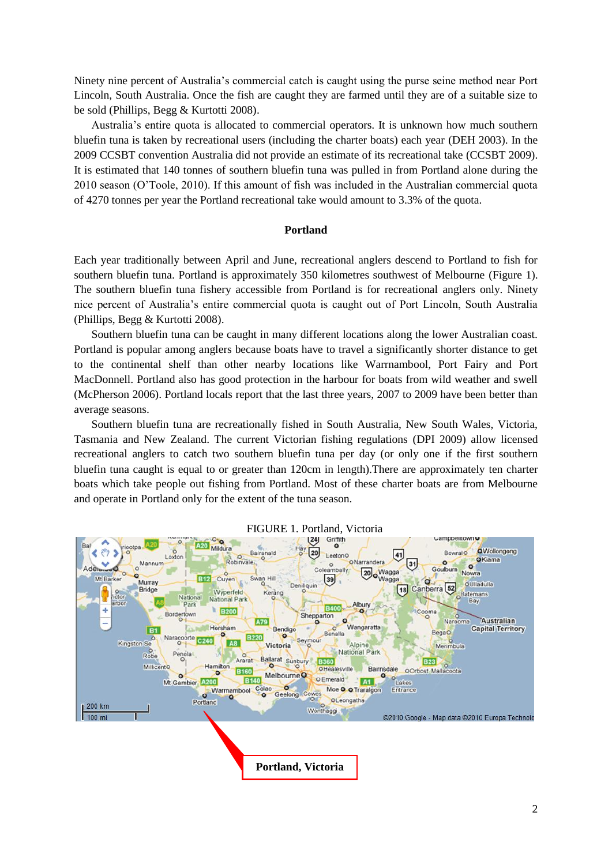Ninety nine percent of Australia"s commercial catch is caught using the purse seine method near Port Lincoln, South Australia. Once the fish are caught they are farmed until they are of a suitable size to be sold (Phillips, Begg & Kurtotti 2008).

Australia"s entire quota is allocated to commercial operators. It is unknown how much southern bluefin tuna is taken by recreational users (including the charter boats) each year (DEH 2003). In the 2009 CCSBT convention Australia did not provide an estimate of its recreational take (CCSBT 2009). It is estimated that 140 tonnes of southern bluefin tuna was pulled in from Portland alone during the 2010 season (O"Toole, 2010). If this amount of fish was included in the Australian commercial quota of 4270 tonnes per year the Portland recreational take would amount to 3.3% of the quota.

#### **Portland**

Each year traditionally between April and June, recreational anglers descend to Portland to fish for southern bluefin tuna. Portland is approximately 350 kilometres southwest of Melbourne (Figure 1). The southern bluefin tuna fishery accessible from Portland is for recreational anglers only. Ninety nice percent of Australia"s entire commercial quota is caught out of Port Lincoln, South Australia (Phillips, Begg & Kurtotti 2008).

Southern bluefin tuna can be caught in many different locations along the lower Australian coast. Portland is popular among anglers because boats have to travel a significantly shorter distance to get to the continental shelf than other nearby locations like Warrnambool, Port Fairy and Port MacDonnell. Portland also has good protection in the harbour for boats from wild weather and swell (McPherson 2006). Portland locals report that the last three years, 2007 to 2009 have been better than average seasons.

Southern bluefin tuna are recreationally fished in South Australia, New South Wales, Victoria, Tasmania and New Zealand. The current Victorian fishing regulations (DPI 2009) allow licensed recreational anglers to catch two southern bluefin tuna per day (or only one if the first southern bluefin tuna caught is equal to or greater than 120cm in length).There are approximately ten charter boats which take people out fishing from Portland. Most of these charter boats are from Melbourne and operate in Portland only for the extent of the tuna season.

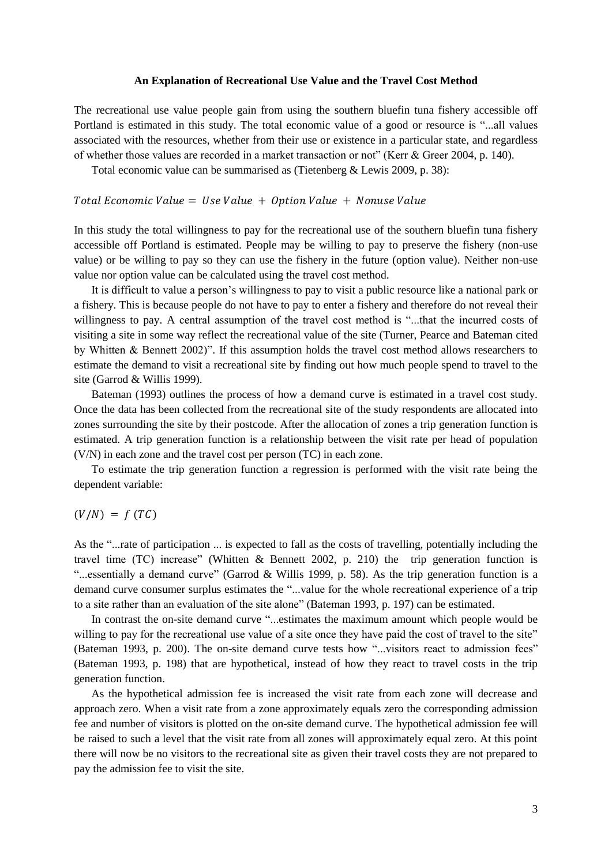#### **An Explanation of Recreational Use Value and the Travel Cost Method**

The recreational use value people gain from using the southern bluefin tuna fishery accessible off Portland is estimated in this study. The total economic value of a good or resource is "...all values associated with the resources, whether from their use or existence in a particular state, and regardless of whether those values are recorded in a market transaction or not" (Kerr & Greer 2004, p. 140).

Total economic value can be summarised as (Tietenberg & Lewis 2009, p. 38):

#### Total Economic Value = Use Value + Option Value + Nonuse Value

In this study the total willingness to pay for the recreational use of the southern bluefin tuna fishery accessible off Portland is estimated. People may be willing to pay to preserve the fishery (non-use value) or be willing to pay so they can use the fishery in the future (option value). Neither non-use value nor option value can be calculated using the travel cost method.

It is difficult to value a person"s willingness to pay to visit a public resource like a national park or a fishery. This is because people do not have to pay to enter a fishery and therefore do not reveal their willingness to pay. A central assumption of the travel cost method is "...that the incurred costs of visiting a site in some way reflect the recreational value of the site (Turner, Pearce and Bateman cited by Whitten & Bennett 2002)". If this assumption holds the travel cost method allows researchers to estimate the demand to visit a recreational site by finding out how much people spend to travel to the site (Garrod & Willis 1999).

Bateman (1993) outlines the process of how a demand curve is estimated in a travel cost study. Once the data has been collected from the recreational site of the study respondents are allocated into zones surrounding the site by their postcode. After the allocation of zones a trip generation function is estimated. A trip generation function is a relationship between the visit rate per head of population (V/N) in each zone and the travel cost per person (TC) in each zone.

To estimate the trip generation function a regression is performed with the visit rate being the dependent variable:

#### $(V/N) = f(TC)$

As the "...rate of participation ... is expected to fall as the costs of travelling, potentially including the travel time (TC) increase" (Whitten & Bennett 2002, p. 210) the trip generation function is "...essentially a demand curve" (Garrod & Willis 1999, p. 58). As the trip generation function is a demand curve consumer surplus estimates the "...value for the whole recreational experience of a trip to a site rather than an evaluation of the site alone" (Bateman 1993, p. 197) can be estimated.

In contrast the on-site demand curve "...estimates the maximum amount which people would be willing to pay for the recreational use value of a site once they have paid the cost of travel to the site" (Bateman 1993, p. 200). The on-site demand curve tests how "...visitors react to admission fees" (Bateman 1993, p. 198) that are hypothetical, instead of how they react to travel costs in the trip generation function.

As the hypothetical admission fee is increased the visit rate from each zone will decrease and approach zero. When a visit rate from a zone approximately equals zero the corresponding admission fee and number of visitors is plotted on the on-site demand curve. The hypothetical admission fee will be raised to such a level that the visit rate from all zones will approximately equal zero. At this point there will now be no visitors to the recreational site as given their travel costs they are not prepared to pay the admission fee to visit the site.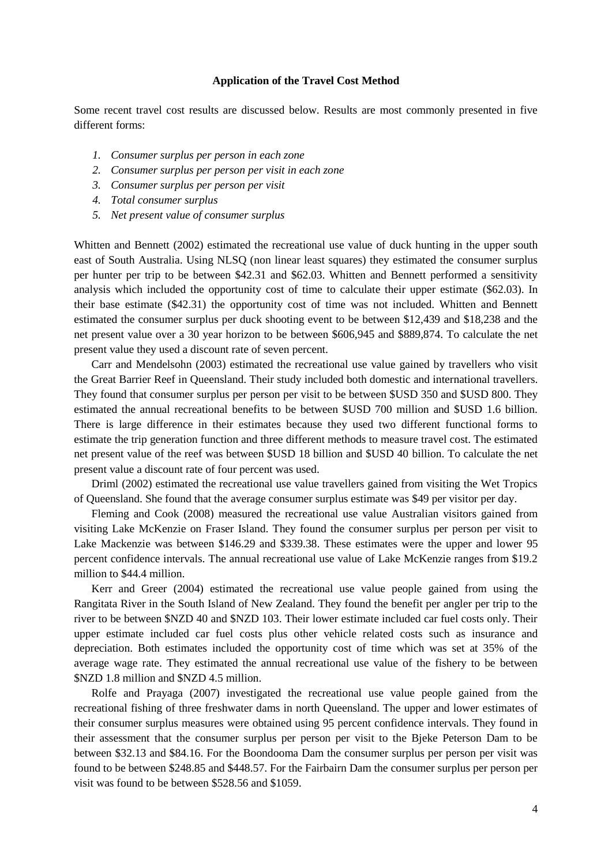#### **Application of the Travel Cost Method**

Some recent travel cost results are discussed below. Results are most commonly presented in five different forms:

- *1. Consumer surplus per person in each zone*
- *2. Consumer surplus per person per visit in each zone*
- *3. Consumer surplus per person per visit*
- *4. Total consumer surplus*
- *5. Net present value of consumer surplus*

Whitten and Bennett (2002) estimated the recreational use value of duck hunting in the upper south east of South Australia. Using NLSQ (non linear least squares) they estimated the consumer surplus per hunter per trip to be between \$42.31 and \$62.03. Whitten and Bennett performed a sensitivity analysis which included the opportunity cost of time to calculate their upper estimate (\$62.03). In their base estimate (\$42.31) the opportunity cost of time was not included. Whitten and Bennett estimated the consumer surplus per duck shooting event to be between \$12,439 and \$18,238 and the net present value over a 30 year horizon to be between \$606,945 and \$889,874. To calculate the net present value they used a discount rate of seven percent.

Carr and Mendelsohn (2003) estimated the recreational use value gained by travellers who visit the Great Barrier Reef in Queensland. Their study included both domestic and international travellers. They found that consumer surplus per person per visit to be between \$USD 350 and \$USD 800. They estimated the annual recreational benefits to be between \$USD 700 million and \$USD 1.6 billion. There is large difference in their estimates because they used two different functional forms to estimate the trip generation function and three different methods to measure travel cost. The estimated net present value of the reef was between \$USD 18 billion and \$USD 40 billion. To calculate the net present value a discount rate of four percent was used.

Driml (2002) estimated the recreational use value travellers gained from visiting the Wet Tropics of Queensland. She found that the average consumer surplus estimate was \$49 per visitor per day.

Fleming and Cook (2008) measured the recreational use value Australian visitors gained from visiting Lake McKenzie on Fraser Island. They found the consumer surplus per person per visit to Lake Mackenzie was between \$146.29 and \$339.38. These estimates were the upper and lower 95 percent confidence intervals. The annual recreational use value of Lake McKenzie ranges from \$19.2 million to \$44.4 million.

Kerr and Greer (2004) estimated the recreational use value people gained from using the Rangitata River in the South Island of New Zealand. They found the benefit per angler per trip to the river to be between \$NZD 40 and \$NZD 103. Their lower estimate included car fuel costs only. Their upper estimate included car fuel costs plus other vehicle related costs such as insurance and depreciation. Both estimates included the opportunity cost of time which was set at 35% of the average wage rate. They estimated the annual recreational use value of the fishery to be between \$NZD 1.8 million and \$NZD 4.5 million.

Rolfe and Prayaga (2007) investigated the recreational use value people gained from the recreational fishing of three freshwater dams in north Queensland. The upper and lower estimates of their consumer surplus measures were obtained using 95 percent confidence intervals. They found in their assessment that the consumer surplus per person per visit to the Bjeke Peterson Dam to be between \$32.13 and \$84.16. For the Boondooma Dam the consumer surplus per person per visit was found to be between \$248.85 and \$448.57. For the Fairbairn Dam the consumer surplus per person per visit was found to be between \$528.56 and \$1059.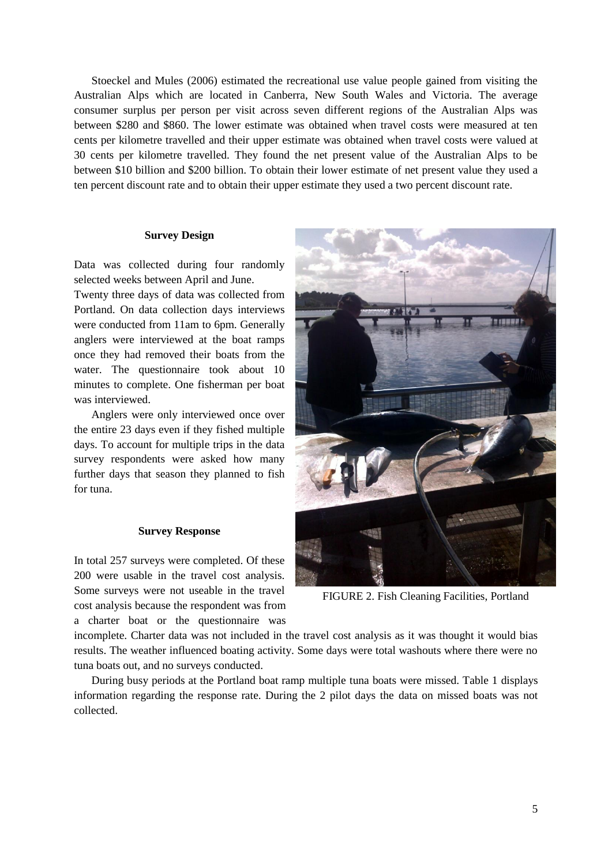Stoeckel and Mules (2006) estimated the recreational use value people gained from visiting the Australian Alps which are located in Canberra, New South Wales and Victoria. The average consumer surplus per person per visit across seven different regions of the Australian Alps was between \$280 and \$860. The lower estimate was obtained when travel costs were measured at ten cents per kilometre travelled and their upper estimate was obtained when travel costs were valued at 30 cents per kilometre travelled. They found the net present value of the Australian Alps to be between \$10 billion and \$200 billion. To obtain their lower estimate of net present value they used a ten percent discount rate and to obtain their upper estimate they used a two percent discount rate.

#### **Survey Design**

Data was collected during four randomly selected weeks between April and June.

Twenty three days of data was collected from Portland. On data collection days interviews were conducted from 11am to 6pm. Generally anglers were interviewed at the boat ramps once they had removed their boats from the water. The questionnaire took about 10 minutes to complete. One fisherman per boat was interviewed.

Anglers were only interviewed once over the entire 23 days even if they fished multiple days. To account for multiple trips in the data survey respondents were asked how many further days that season they planned to fish for tuna.

#### **Survey Response**

In total 257 surveys were completed. Of these 200 were usable in the travel cost analysis. Some surveys were not useable in the travel cost analysis because the respondent was from a charter boat or the questionnaire was



FIGURE 2. Fish Cleaning Facilities, Portland

incomplete. Charter data was not included in the travel cost analysis as it was thought it would bias results. The weather influenced boating activity. Some days were total washouts where there were no tuna boats out, and no surveys conducted.

During busy periods at the Portland boat ramp multiple tuna boats were missed. Table 1 displays information regarding the response rate. During the 2 pilot days the data on missed boats was not collected.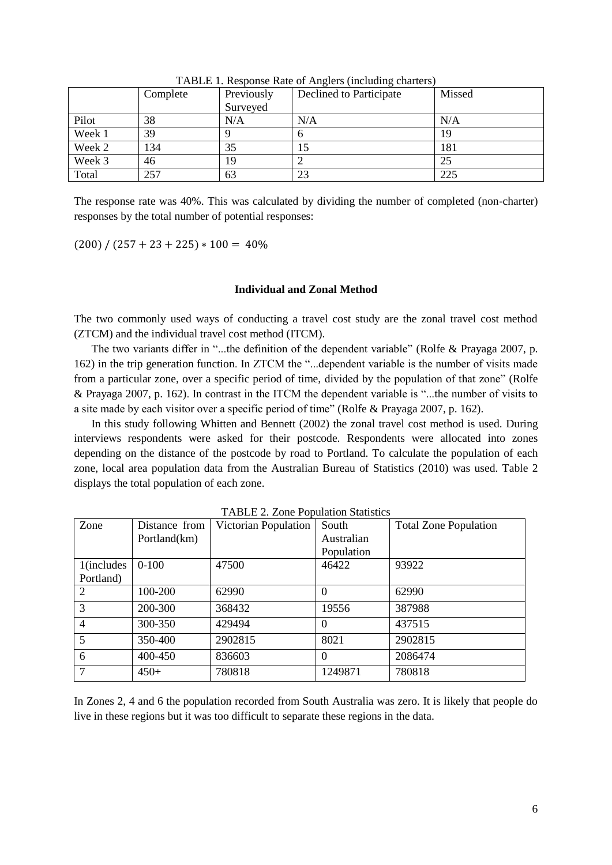|        | Complete | Previously | Declined to Participate | Missed |
|--------|----------|------------|-------------------------|--------|
|        |          | Surveyed   |                         |        |
| Pilot  | 38       | N/A        | N/A                     | N/A    |
| Week 1 | 39       |            | n                       | 19     |
| Week 2 | 134      | 35         | 15                      | 181    |
| Week 3 | 46       | 19         |                         | 25     |
| Total  | 257      | 63         | 23                      | 225    |

TABLE 1. Response Rate of Anglers (including charters)

The response rate was 40%. This was calculated by dividing the number of completed (non-charter) responses by the total number of potential responses:

 $(200) / (257 + 23 + 225) * 100 = 40\%$ 

#### **Individual and Zonal Method**

The two commonly used ways of conducting a travel cost study are the zonal travel cost method (ZTCM) and the individual travel cost method (ITCM).

The two variants differ in "...the definition of the dependent variable" (Rolfe & Prayaga 2007, p. 162) in the trip generation function. In ZTCM the "...dependent variable is the number of visits made from a particular zone, over a specific period of time, divided by the population of that zone" (Rolfe & Prayaga 2007, p. 162). In contrast in the ITCM the dependent variable is "...the number of visits to a site made by each visitor over a specific period of time" (Rolfe & Prayaga 2007, p. 162).

In this study following Whitten and Bennett (2002) the zonal travel cost method is used. During interviews respondents were asked for their postcode. Respondents were allocated into zones depending on the distance of the postcode by road to Portland. To calculate the population of each zone, local area population data from the Australian Bureau of Statistics (2010) was used. Table 2 displays the total population of each zone.

| Zone           | Distance from | Victorian Population | South      | <b>Total Zone Population</b> |
|----------------|---------------|----------------------|------------|------------------------------|
|                | Portland(km)  |                      | Australian |                              |
|                |               |                      | Population |                              |
| 1(includes)    | $0-100$       | 47500                | 46422      | 93922                        |
| Portland)      |               |                      |            |                              |
| 2              | 100-200       | 62990                |            | 62990                        |
| 3              | 200-300       | 368432               | 19556      | 387988                       |
| $\overline{4}$ | 300-350       | 429494               |            | 437515                       |
| 5              | 350-400       | 2902815              | 8021       | 2902815                      |
| 6              | 400-450       | 836603               | $\Omega$   | 2086474                      |
| 7              | $450+$        | 780818               | 1249871    | 780818                       |

TABLE 2. Zone Population Statistics

In Zones 2, 4 and 6 the population recorded from South Australia was zero. It is likely that people do live in these regions but it was too difficult to separate these regions in the data.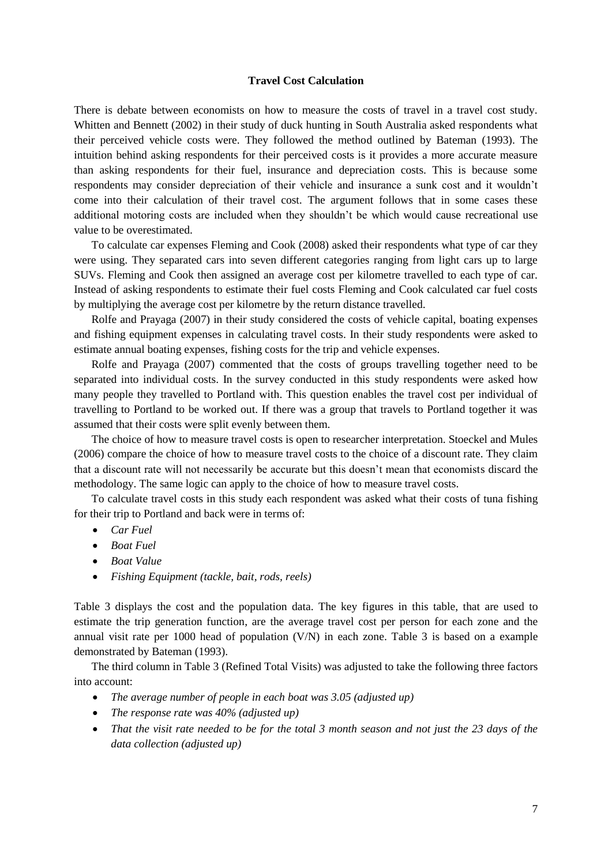#### **Travel Cost Calculation**

There is debate between economists on how to measure the costs of travel in a travel cost study. Whitten and Bennett (2002) in their study of duck hunting in South Australia asked respondents what their perceived vehicle costs were. They followed the method outlined by Bateman (1993). The intuition behind asking respondents for their perceived costs is it provides a more accurate measure than asking respondents for their fuel, insurance and depreciation costs. This is because some respondents may consider depreciation of their vehicle and insurance a sunk cost and it wouldn"t come into their calculation of their travel cost. The argument follows that in some cases these additional motoring costs are included when they shouldn"t be which would cause recreational use value to be overestimated.

To calculate car expenses Fleming and Cook (2008) asked their respondents what type of car they were using. They separated cars into seven different categories ranging from light cars up to large SUVs. Fleming and Cook then assigned an average cost per kilometre travelled to each type of car. Instead of asking respondents to estimate their fuel costs Fleming and Cook calculated car fuel costs by multiplying the average cost per kilometre by the return distance travelled.

Rolfe and Prayaga (2007) in their study considered the costs of vehicle capital, boating expenses and fishing equipment expenses in calculating travel costs. In their study respondents were asked to estimate annual boating expenses, fishing costs for the trip and vehicle expenses.

Rolfe and Prayaga (2007) commented that the costs of groups travelling together need to be separated into individual costs. In the survey conducted in this study respondents were asked how many people they travelled to Portland with. This question enables the travel cost per individual of travelling to Portland to be worked out. If there was a group that travels to Portland together it was assumed that their costs were split evenly between them.

The choice of how to measure travel costs is open to researcher interpretation. Stoeckel and Mules (2006) compare the choice of how to measure travel costs to the choice of a discount rate. They claim that a discount rate will not necessarily be accurate but this doesn"t mean that economists discard the methodology. The same logic can apply to the choice of how to measure travel costs.

To calculate travel costs in this study each respondent was asked what their costs of tuna fishing for their trip to Portland and back were in terms of:

- *Car Fuel*
- *Boat Fuel*
- *Boat Value*
- *Fishing Equipment (tackle, bait, rods, reels)*

Table 3 displays the cost and the population data. The key figures in this table, that are used to estimate the trip generation function, are the average travel cost per person for each zone and the annual visit rate per 1000 head of population (V/N) in each zone. Table 3 is based on a example demonstrated by Bateman (1993).

The third column in Table 3 (Refined Total Visits) was adjusted to take the following three factors into account:

- *The average number of people in each boat was 3.05 (adjusted up)*
- *The response rate was 40% (adjusted up)*
- *That the visit rate needed to be for the total 3 month season and not just the 23 days of the data collection (adjusted up)*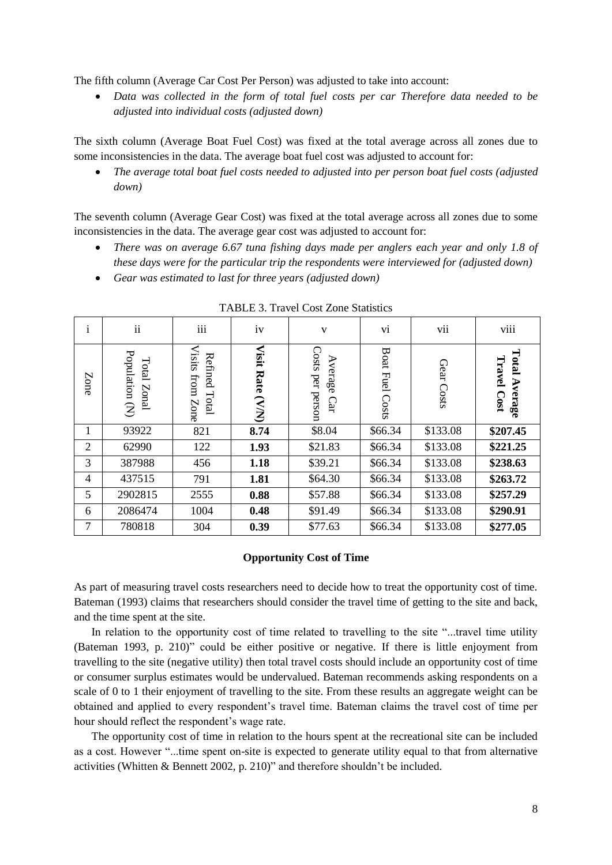The fifth column (Average Car Cost Per Person) was adjusted to take into account:

• Data was collected in the form of total fuel costs per car Therefore data needed to be *adjusted into individual costs (adjusted down)*

The sixth column (Average Boat Fuel Cost) was fixed at the total average across all zones due to some inconsistencies in the data. The average boat fuel cost was adjusted to account for:

 *The average total boat fuel costs needed to adjusted into per person boat fuel costs (adjusted down)*

The seventh column (Average Gear Cost) was fixed at the total average across all zones due to some inconsistencies in the data. The average gear cost was adjusted to account for:

- *There was on average 6.67 tuna fishing days made per anglers each year and only 1.8 of these days were for the particular trip the respondents were interviewed for (adjusted down)*
- *Gear was estimated to last for three years (adjusted down)*

| $\mathbf{1}$   | $\overline{\textbf{ii}}$                                 | iii                                            | iv                                        | V                                     | vii<br>vi          |               | viii                               |
|----------------|----------------------------------------------------------|------------------------------------------------|-------------------------------------------|---------------------------------------|--------------------|---------------|------------------------------------|
| Zone           | Population<br>$\mbox{Total}$<br>Lonal<br>$\widehat{\Xi}$ | <b>Visits</b><br>Refined Total<br>from<br>Zone | Visit<br>Rate<br>$\widetilde{\mathbf{X}}$ | Costs<br>Average<br>per person<br>Cat | Boat Fuel<br>Costs | Gear<br>Costs | Total<br>Travel<br>Average<br>Cost |
|                | 93922                                                    | 821                                            | 8.74                                      | \$8.04                                | \$66.34            | \$133.08      | \$207.45                           |
| $\overline{2}$ | 62990                                                    | 122                                            | 1.93                                      | \$21.83                               | \$66.34            | \$133.08      | \$221.25                           |
| 3              | 387988                                                   | 456                                            | 1.18                                      | \$39.21                               | \$66.34            | \$133.08      | \$238.63                           |
| $\overline{4}$ | 437515                                                   | 791                                            | 1.81                                      | \$64.30                               | \$66.34            | \$133.08      | \$263.72                           |
| 5              | 2902815                                                  | 2555                                           | 0.88                                      | \$57.88                               | \$66.34            | \$133.08      | \$257.29                           |
| 6              | 2086474                                                  | 1004                                           | 0.48                                      | \$91.49                               | \$66.34            | \$133.08      | \$290.91                           |
| $\tau$         | 780818                                                   | 304                                            | 0.39                                      | \$77.63                               | \$66.34            | \$133.08      | \$277.05                           |

TABLE 3. Travel Cost Zone Statistics

#### **Opportunity Cost of Time**

As part of measuring travel costs researchers need to decide how to treat the opportunity cost of time. Bateman (1993) claims that researchers should consider the travel time of getting to the site and back, and the time spent at the site.

In relation to the opportunity cost of time related to travelling to the site "...travel time utility (Bateman 1993, p. 210)" could be either positive or negative. If there is little enjoyment from travelling to the site (negative utility) then total travel costs should include an opportunity cost of time or consumer surplus estimates would be undervalued. Bateman recommends asking respondents on a scale of 0 to 1 their enjoyment of travelling to the site. From these results an aggregate weight can be obtained and applied to every respondent"s travel time. Bateman claims the travel cost of time per hour should reflect the respondent's wage rate.

The opportunity cost of time in relation to the hours spent at the recreational site can be included as a cost. However "...time spent on-site is expected to generate utility equal to that from alternative activities (Whitten & Bennett 2002, p. 210)" and therefore shouldn"t be included.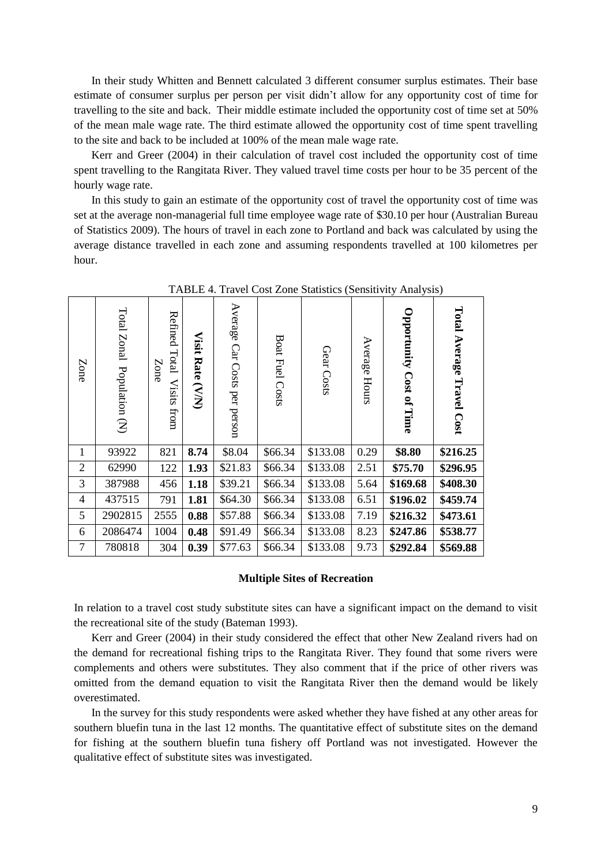In their study Whitten and Bennett calculated 3 different consumer surplus estimates. Their base estimate of consumer surplus per person per visit didn"t allow for any opportunity cost of time for travelling to the site and back. Their middle estimate included the opportunity cost of time set at 50% of the mean male wage rate. The third estimate allowed the opportunity cost of time spent travelling to the site and back to be included at 100% of the mean male wage rate.

Kerr and Greer (2004) in their calculation of travel cost included the opportunity cost of time spent travelling to the Rangitata River. They valued travel time costs per hour to be 35 percent of the hourly wage rate.

In this study to gain an estimate of the opportunity cost of travel the opportunity cost of time was set at the average non-managerial full time employee wage rate of \$30.10 per hour (Australian Bureau of Statistics 2009). The hours of travel in each zone to Portland and back was calculated by using the average distance travelled in each zone and assuming respondents travelled at 100 kilometres per hour.

|                          |                               |                                                |                      |                              |                 |            |               | TABLE 4. Travel Cost Zone Statistics (Sensitivity Analysis) |                           |
|--------------------------|-------------------------------|------------------------------------------------|----------------------|------------------------------|-----------------|------------|---------------|-------------------------------------------------------------|---------------------------|
| Zone                     | Total Zonal<br>Population (N) | Refined Total<br>Zone<br><b>Visits</b><br>from | Visit<br>Rate<br>VN) | Average Car Costs per person | Boat Fuel Costs | Gear Costs | Average Hours | Opportunity<br>Cost of Time                                 | Total Average Travel Cost |
| $\mathbf{1}$             | 93922                         | 821                                            | 8.74                 | \$8.04                       | \$66.34         | \$133.08   | 0.29          | \$8.80                                                      | \$216.25                  |
| $\overline{2}$           | 62990                         | 122                                            | 1.93                 | \$21.83                      | \$66.34         | \$133.08   | 2.51          | \$75.70                                                     | \$296.95                  |
| 3                        | 387988                        | 456                                            | 1.18                 | \$39.21                      | \$66.34         | \$133.08   | 5.64          | \$169.68                                                    | \$408.30                  |
| $\overline{\mathcal{A}}$ | 437515                        | 791                                            | 1.81                 | \$64.30                      | \$66.34         | \$133.08   | 6.51          | \$196.02                                                    | \$459.74                  |
| 5                        | 2902815                       | 2555                                           | 0.88                 | \$57.88                      | \$66.34         | \$133.08   | 7.19          | \$216.32                                                    | \$473.61                  |
| 6                        | 2086474                       | 1004                                           | 0.48                 | \$91.49                      | \$66.34         | \$133.08   | 8.23          | \$247.86                                                    | \$538.77                  |
| 7                        | 780818                        | 304                                            | 0.39                 | \$77.63                      | \$66.34         | \$133.08   | 9.73          | \$292.84                                                    | \$569.88                  |

TABLE 4. Travel Cost Zone Statistics (Sensitivity Analysis)

#### **Multiple Sites of Recreation**

In relation to a travel cost study substitute sites can have a significant impact on the demand to visit the recreational site of the study (Bateman 1993).

Kerr and Greer (2004) in their study considered the effect that other New Zealand rivers had on the demand for recreational fishing trips to the Rangitata River. They found that some rivers were complements and others were substitutes. They also comment that if the price of other rivers was omitted from the demand equation to visit the Rangitata River then the demand would be likely overestimated.

In the survey for this study respondents were asked whether they have fished at any other areas for southern bluefin tuna in the last 12 months. The quantitative effect of substitute sites on the demand for fishing at the southern bluefin tuna fishery off Portland was not investigated. However the qualitative effect of substitute sites was investigated.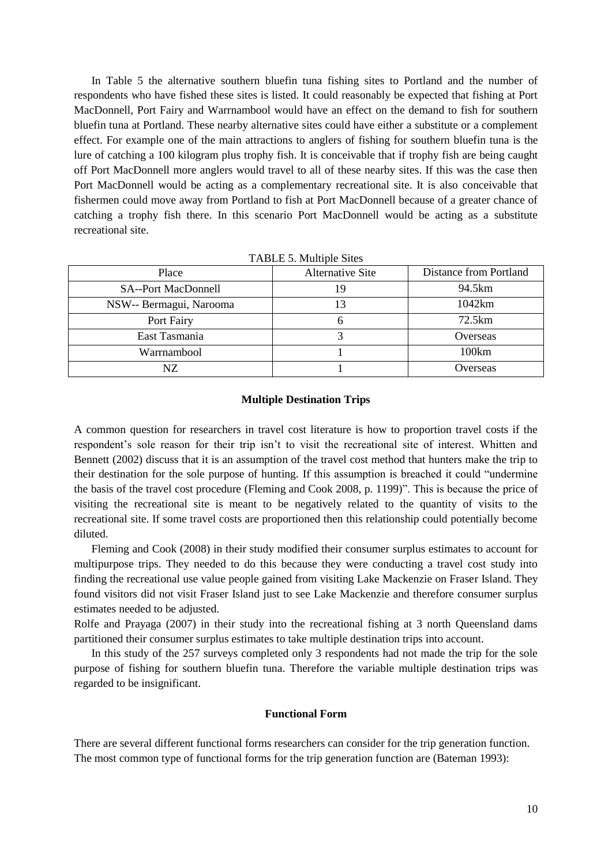In Table 5 the alternative southern bluefin tuna fishing sites to Portland and the number of respondents who have fished these sites is listed. It could reasonably be expected that fishing at Port MacDonnell, Port Fairy and Warrnambool would have an effect on the demand to fish for southern bluefin tuna at Portland. These nearby alternative sites could have either a substitute or a complement effect. For example one of the main attractions to anglers of fishing for southern bluefin tuna is the lure of catching a 100 kilogram plus trophy fish. It is conceivable that if trophy fish are being caught off Port MacDonnell more anglers would travel to all of these nearby sites. If this was the case then Port MacDonnell would be acting as a complementary recreational site. It is also conceivable that fishermen could move away from Portland to fish at Port MacDonnell because of a greater chance of catching a trophy fish there. In this scenario Port MacDonnell would be acting as a substitute recreational site.

| Place                      | <b>Alternative Site</b> | Distance from Portland |
|----------------------------|-------------------------|------------------------|
| <b>SA--Port MacDonnell</b> | 19                      | 94.5km                 |
| NSW-- Bermagui, Narooma    |                         | 1042km                 |
| Port Fairy                 |                         | 72.5km                 |
| East Tasmania              |                         | Overseas               |
| Warrnambool                |                         | 100km                  |
| NZ.                        |                         | Overseas               |
|                            |                         |                        |

|  |  |  |  |  | TABLE 5. Multiple Sites |
|--|--|--|--|--|-------------------------|
|--|--|--|--|--|-------------------------|

#### **Multiple Destination Trips**

A common question for researchers in travel cost literature is how to proportion travel costs if the respondent"s sole reason for their trip isn"t to visit the recreational site of interest. Whitten and Bennett (2002) discuss that it is an assumption of the travel cost method that hunters make the trip to their destination for the sole purpose of hunting. If this assumption is breached it could "undermine the basis of the travel cost procedure (Fleming and Cook 2008, p. 1199)". This is because the price of visiting the recreational site is meant to be negatively related to the quantity of visits to the recreational site. If some travel costs are proportioned then this relationship could potentially become diluted.

Fleming and Cook (2008) in their study modified their consumer surplus estimates to account for multipurpose trips. They needed to do this because they were conducting a travel cost study into finding the recreational use value people gained from visiting Lake Mackenzie on Fraser Island. They found visitors did not visit Fraser Island just to see Lake Mackenzie and therefore consumer surplus estimates needed to be adjusted.

Rolfe and Prayaga (2007) in their study into the recreational fishing at 3 north Queensland dams partitioned their consumer surplus estimates to take multiple destination trips into account.

In this study of the 257 surveys completed only 3 respondents had not made the trip for the sole purpose of fishing for southern bluefin tuna. Therefore the variable multiple destination trips was regarded to be insignificant.

#### **Functional Form**

There are several different functional forms researchers can consider for the trip generation function. The most common type of functional forms for the trip generation function are (Bateman 1993):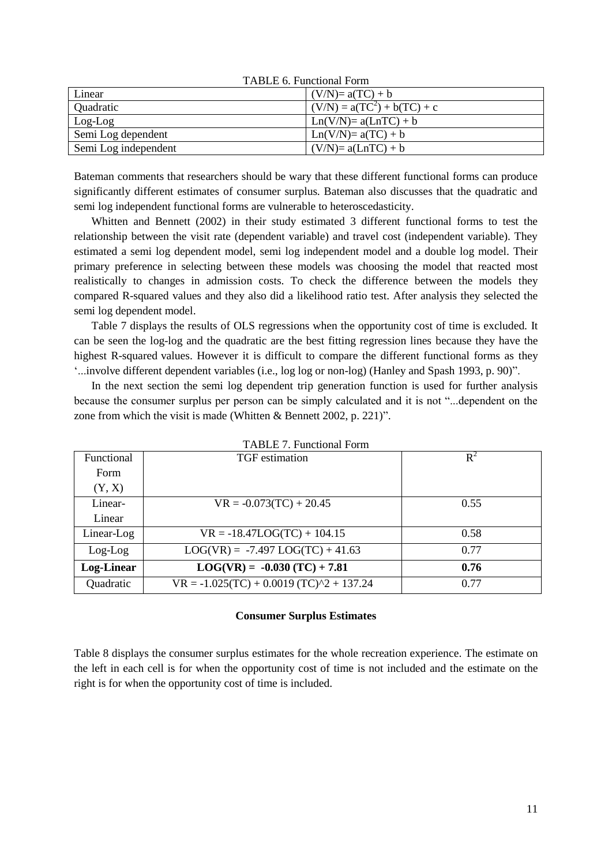| TADLE 0. FUNCHONAL FOILL |                               |  |  |  |  |
|--------------------------|-------------------------------|--|--|--|--|
| Linear                   | $(V/N)=a(TC)+b$               |  |  |  |  |
| Quadratic                | $(V/N) = a(TC^2) + b(TC) + c$ |  |  |  |  |
| $Log-Log$                | $Ln(V/N)=a(LnTC)+b$           |  |  |  |  |
| Semi Log dependent       | $Ln(V/N)=a(TC)+b$             |  |  |  |  |
| Semi Log independent     | $(V/N) = a(LnTC) + b$         |  |  |  |  |

TABLE 6. Functional Form

Bateman comments that researchers should be wary that these different functional forms can produce significantly different estimates of consumer surplus. Bateman also discusses that the quadratic and semi log independent functional forms are vulnerable to heteroscedasticity.

Whitten and Bennett (2002) in their study estimated 3 different functional forms to test the relationship between the visit rate (dependent variable) and travel cost (independent variable). They estimated a semi log dependent model, semi log independent model and a double log model. Their primary preference in selecting between these models was choosing the model that reacted most realistically to changes in admission costs. To check the difference between the models they compared R-squared values and they also did a likelihood ratio test. After analysis they selected the semi log dependent model.

Table 7 displays the results of OLS regressions when the opportunity cost of time is excluded. It can be seen the log-log and the quadratic are the best fitting regression lines because they have the highest R-squared values. However it is difficult to compare the different functional forms as they "...involve different dependent variables (i.e., log log or non-log) (Hanley and Spash 1993, p. 90)".

In the next section the semi log dependent trip generation function is used for further analysis because the consumer surplus per person can be simply calculated and it is not "...dependent on the zone from which the visit is made (Whitten & Bennett 2002, p. 221)".

| Functional | <b>TGF</b> estimation                     | $R^2$ |
|------------|-------------------------------------------|-------|
| Form       |                                           |       |
| (Y, X)     |                                           |       |
| Linear-    | $VR = -0.073(TC) + 20.45$                 | 0.55  |
| Linear     |                                           |       |
| Linear-Log | $VR = -18.47LOG(TC) + 104.15$             | 0.58  |
| $Log-Log$  | $LOG(VR) = -7.497 LOG(TC) + 41.63$        | 0.77  |
| Log-Linear | $LOG(VR) = -0.030 (TC) + 7.81$            | 0.76  |
| Quadratic  | $VR = -1.025(TC) + 0.0019(TC)^2 + 137.24$ | 0.77  |

 $TAPI E 7E$ 

#### **Consumer Surplus Estimates**

Table 8 displays the consumer surplus estimates for the whole recreation experience. The estimate on the left in each cell is for when the opportunity cost of time is not included and the estimate on the right is for when the opportunity cost of time is included.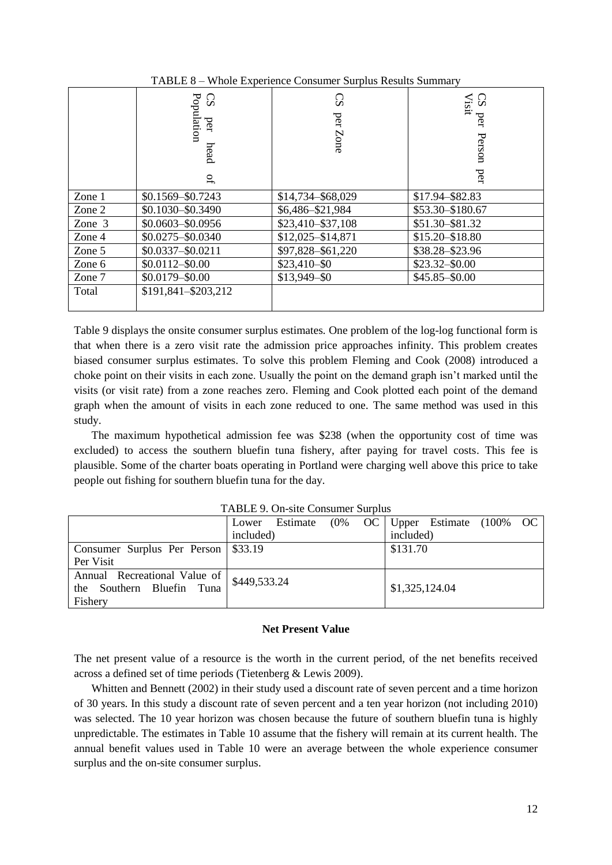|          | Population<br>◠<br>Ď<br>per<br>head<br>q | င္ဟ<br>per<br>Zone | $\boldsymbol{\omega}$<br>isit<br>per<br>Person<br>ber |
|----------|------------------------------------------|--------------------|-------------------------------------------------------|
| Zone $1$ | \$0.1569-\$0.7243                        | \$14,734-\$68,029  | \$17.94-\$82.83                                       |
| Zone 2   | $$0.1030 - $0.3490$                      | \$6,486-\$21,984   | \$53.30-\$180.67                                      |
| Zone 3   | $$0.0603 - $0.0956$                      | \$23,410-\$37,108  | \$51.30-\$81.32                                       |
| Zone 4   | $$0.0275 - $0.0340$                      | \$12,025-\$14,871  | \$15.20 - \$18.80                                     |
| Zone 5   | $$0.0337 - $0.0211$                      | \$97,828-\$61,220  | \$38.28-\$23.96                                       |
| Zone 6   | $$0.0112 - $0.00$                        | $$23,410 - $0$     | $$23.32 - $0.00$                                      |
| Zone 7   | \$0.0179-\$0.00                          | \$13,949-\$0       | \$45.85-\$0.00                                        |
| Total    | \$191,841-\$203,212                      |                    |                                                       |

TABLE 8 – Whole Experience Consumer Surplus Results Summary

Table 9 displays the onsite consumer surplus estimates. One problem of the log-log functional form is that when there is a zero visit rate the admission price approaches infinity. This problem creates biased consumer surplus estimates. To solve this problem Fleming and Cook (2008) introduced a choke point on their visits in each zone. Usually the point on the demand graph isn"t marked until the visits (or visit rate) from a zone reaches zero. Fleming and Cook plotted each point of the demand graph when the amount of visits in each zone reduced to one. The same method was used in this study.

The maximum hypothetical admission fee was \$238 (when the opportunity cost of time was excluded) to access the southern bluefin tuna fishery, after paying for travel costs. This fee is plausible. Some of the charter boats operating in Portland were charging well above this price to take people out fishing for southern bluefin tuna for the day.

|                                                                      | Estimate<br>Lower | (0% OC Upper Estimate (100% OC |
|----------------------------------------------------------------------|-------------------|--------------------------------|
|                                                                      | included)         | included)                      |
| Consumer Surplus Per Person   \$33.19                                |                   | \$131.70                       |
| Per Visit                                                            |                   |                                |
| Annual Recreational Value of<br>the Southern Bluefin Tuna<br>Fishery | \$449,533.24      | \$1,325,124.04                 |

TABLE 9. On-site Consumer Surplus

#### **Net Present Value**

The net present value of a resource is the worth in the current period, of the net benefits received across a defined set of time periods (Tietenberg & Lewis 2009).

Whitten and Bennett (2002) in their study used a discount rate of seven percent and a time horizon of 30 years. In this study a discount rate of seven percent and a ten year horizon (not including 2010) was selected. The 10 year horizon was chosen because the future of southern bluefin tuna is highly unpredictable. The estimates in Table 10 assume that the fishery will remain at its current health. The annual benefit values used in Table 10 were an average between the whole experience consumer surplus and the on-site consumer surplus.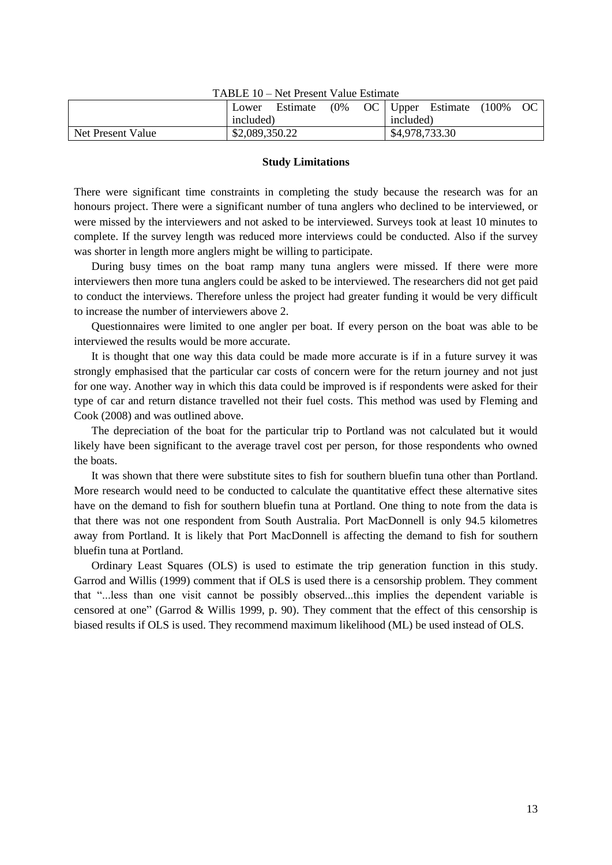|                   | Lower          | Estimate | (0% |                |  | OC Upper Estimate | $(100\%$ | OC |
|-------------------|----------------|----------|-----|----------------|--|-------------------|----------|----|
|                   | included)      |          |     | included)      |  |                   |          |    |
| Net Present Value | \$2,089,350.22 |          |     | \$4,978,733.30 |  |                   |          |    |

TABLE 10 – Net Present Value Estimate

#### **Study Limitations**

There were significant time constraints in completing the study because the research was for an honours project. There were a significant number of tuna anglers who declined to be interviewed, or were missed by the interviewers and not asked to be interviewed. Surveys took at least 10 minutes to complete. If the survey length was reduced more interviews could be conducted. Also if the survey was shorter in length more anglers might be willing to participate.

During busy times on the boat ramp many tuna anglers were missed. If there were more interviewers then more tuna anglers could be asked to be interviewed. The researchers did not get paid to conduct the interviews. Therefore unless the project had greater funding it would be very difficult to increase the number of interviewers above 2.

Questionnaires were limited to one angler per boat. If every person on the boat was able to be interviewed the results would be more accurate.

It is thought that one way this data could be made more accurate is if in a future survey it was strongly emphasised that the particular car costs of concern were for the return journey and not just for one way. Another way in which this data could be improved is if respondents were asked for their type of car and return distance travelled not their fuel costs. This method was used by Fleming and Cook (2008) and was outlined above.

The depreciation of the boat for the particular trip to Portland was not calculated but it would likely have been significant to the average travel cost per person, for those respondents who owned the boats.

It was shown that there were substitute sites to fish for southern bluefin tuna other than Portland. More research would need to be conducted to calculate the quantitative effect these alternative sites have on the demand to fish for southern bluefin tuna at Portland. One thing to note from the data is that there was not one respondent from South Australia. Port MacDonnell is only 94.5 kilometres away from Portland. It is likely that Port MacDonnell is affecting the demand to fish for southern bluefin tuna at Portland.

Ordinary Least Squares (OLS) is used to estimate the trip generation function in this study. Garrod and Willis (1999) comment that if OLS is used there is a censorship problem. They comment that "...less than one visit cannot be possibly observed...this implies the dependent variable is censored at one" (Garrod & Willis 1999, p. 90). They comment that the effect of this censorship is biased results if OLS is used. They recommend maximum likelihood (ML) be used instead of OLS.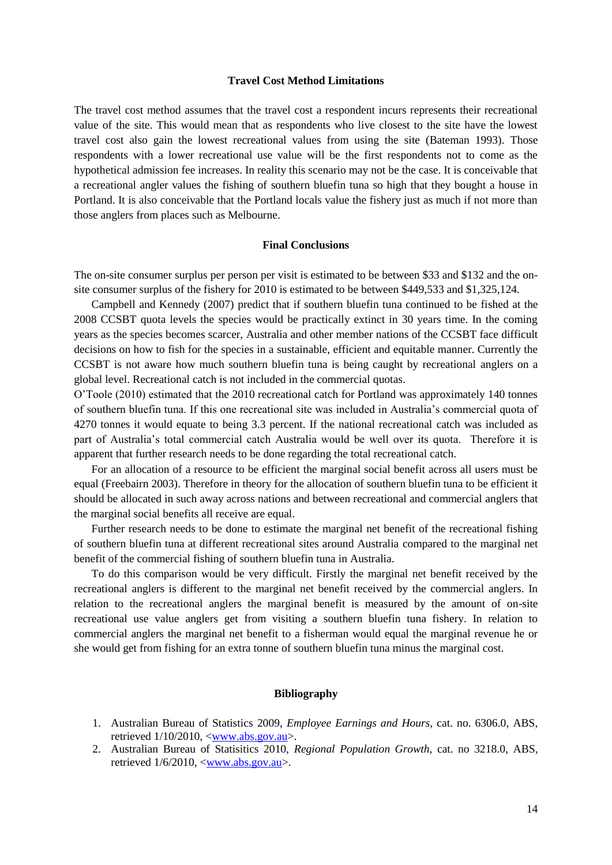#### **Travel Cost Method Limitations**

The travel cost method assumes that the travel cost a respondent incurs represents their recreational value of the site. This would mean that as respondents who live closest to the site have the lowest travel cost also gain the lowest recreational values from using the site (Bateman 1993). Those respondents with a lower recreational use value will be the first respondents not to come as the hypothetical admission fee increases. In reality this scenario may not be the case. It is conceivable that a recreational angler values the fishing of southern bluefin tuna so high that they bought a house in Portland. It is also conceivable that the Portland locals value the fishery just as much if not more than those anglers from places such as Melbourne.

#### **Final Conclusions**

The on-site consumer surplus per person per visit is estimated to be between \$33 and \$132 and the onsite consumer surplus of the fishery for 2010 is estimated to be between \$449,533 and \$1,325,124.

Campbell and Kennedy (2007) predict that if southern bluefin tuna continued to be fished at the 2008 CCSBT quota levels the species would be practically extinct in 30 years time. In the coming years as the species becomes scarcer, Australia and other member nations of the CCSBT face difficult decisions on how to fish for the species in a sustainable, efficient and equitable manner. Currently the CCSBT is not aware how much southern bluefin tuna is being caught by recreational anglers on a global level. Recreational catch is not included in the commercial quotas.

O"Toole (2010) estimated that the 2010 recreational catch for Portland was approximately 140 tonnes of southern bluefin tuna. If this one recreational site was included in Australia"s commercial quota of 4270 tonnes it would equate to being 3.3 percent. If the national recreational catch was included as part of Australia"s total commercial catch Australia would be well over its quota. Therefore it is apparent that further research needs to be done regarding the total recreational catch.

For an allocation of a resource to be efficient the marginal social benefit across all users must be equal (Freebairn 2003). Therefore in theory for the allocation of southern bluefin tuna to be efficient it should be allocated in such away across nations and between recreational and commercial anglers that the marginal social benefits all receive are equal.

Further research needs to be done to estimate the marginal net benefit of the recreational fishing of southern bluefin tuna at different recreational sites around Australia compared to the marginal net benefit of the commercial fishing of southern bluefin tuna in Australia.

To do this comparison would be very difficult. Firstly the marginal net benefit received by the recreational anglers is different to the marginal net benefit received by the commercial anglers. In relation to the recreational anglers the marginal benefit is measured by the amount of on-site recreational use value anglers get from visiting a southern bluefin tuna fishery. In relation to commercial anglers the marginal net benefit to a fisherman would equal the marginal revenue he or she would get from fishing for an extra tonne of southern bluefin tuna minus the marginal cost.

#### **Bibliography**

- 1. Australian Bureau of Statistics 2009, *Employee Earnings and Hours,* cat. no. 6306.0, ABS, retrieved 1/10/2010, [<www.abs.gov.au>](http://www.abs.gov.au/).
- 2. Australian Bureau of Statisitics 2010, *Regional Population Growth*, cat. no 3218.0, ABS, retrieved  $1/6/2010$ ,  $\langle$ www.abs.gov.au $\rangle$ .